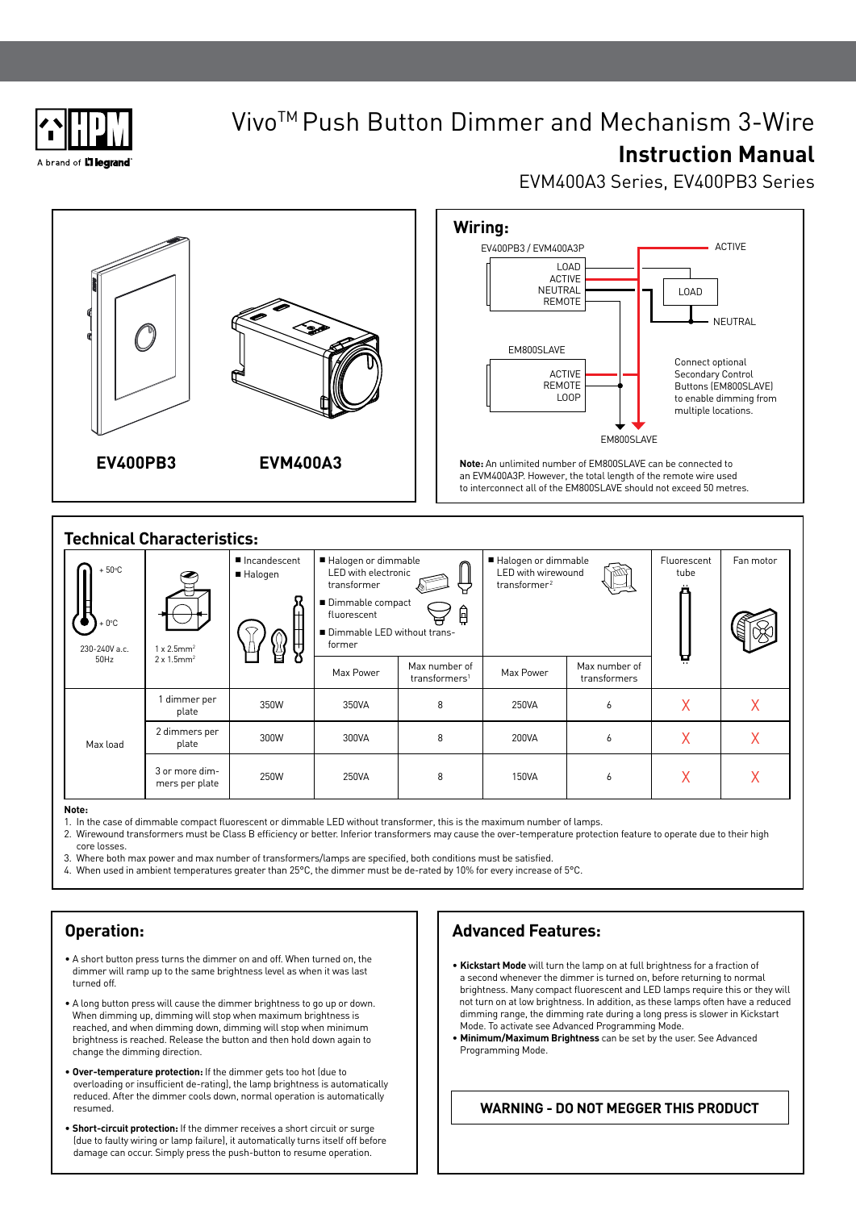

# VivoTM Push Button Dimmer and Mechanism 3-Wire **Instruction Manual**

# EVM400A3 Series, EV400PB3 Series



| <b>Technical Characteristics:</b>           |                                                                            |      |                                                                                                                                              |                                            |                                                                                    |                               |                     |           |  |  |
|---------------------------------------------|----------------------------------------------------------------------------|------|----------------------------------------------------------------------------------------------------------------------------------------------|--------------------------------------------|------------------------------------------------------------------------------------|-------------------------------|---------------------|-----------|--|--|
| $+50^{\circ}$ C<br>$+0$ °C<br>230-240V a.c. | Incandescent<br>■ Halogen<br>ዙ<br>)<br>U<br>$1 \times 2.5$ mm <sup>2</sup> |      | Halogen or dimmable<br>LED with electronic<br>transformer<br>■ Dimmable compact<br>₿<br>fluorescent<br>Dimmable LED without trans-<br>former |                                            | Halogen or dimmable<br><b>LED</b> with wirewound<br><b>YOUX</b><br>transformer $2$ |                               | Fluorescent<br>tube | Fan motor |  |  |
| 50Hz                                        | $2 \times 1.5$ mm <sup>2</sup>                                             |      | Max Power                                                                                                                                    | Max number of<br>transformers <sup>1</sup> | Max Power                                                                          | Max number of<br>transformers | Ä                   |           |  |  |
| Max load                                    | dimmer per<br>plate                                                        | 350W | 350VA                                                                                                                                        | 8                                          | 250VA                                                                              | 6                             | X                   | X         |  |  |
|                                             | 2 dimmers per<br>plate                                                     | 300W | 300VA                                                                                                                                        | 8                                          | 200VA                                                                              | 6                             | Χ                   | X         |  |  |
|                                             | 3 or more dim-<br>mers per plate                                           | 250W | 250VA                                                                                                                                        | 8                                          | 150VA                                                                              | 6                             | Χ                   | Χ         |  |  |

#### **Note:**

- 1. In the case of dimmable compact fluorescent or dimmable LED without transformer, this is the maximum number of lamps.
- 2. Wirewound transformers must be Class B efficiency or better. Inferior transformers may cause the over-temperature protection feature to operate due to their high core losses.
- 3. Where both max power and max number of transformers/lamps are specified, both conditions must be satisfied.
- 4. When used in ambient temperatures greater than 25°C, the dimmer must be de-rated by 10% for every increase of 5°C.

### **Operation:**

- A short button press turns the dimmer on and off. When turned on, the dimmer will ramp up to the same brightness level as when it was last turned off.
- A long button press will cause the dimmer brightness to go up or down. When dimming up, dimming will stop when maximum brightness is reached, and when dimming down, dimming will stop when minimum brightness is reached. Release the button and then hold down again to change the dimming direction.
- **Over-temperature protection:** If the dimmer gets too hot (due to overloading or insufficient de-rating), the lamp brightness is automatically reduced. After the dimmer cools down, normal operation is automatically resumed.
- **Short-circuit protection:** If the dimmer receives a short circuit or surge (due to faulty wiring or lamp failure), it automatically turns itself off before damage can occur. Simply press the push-button to resume operation.

## **Advanced Features:**

- **Kickstart Mode** will turn the lamp on at full brightness for a fraction of a second whenever the dimmer is turned on, before returning to normal brightness. Many compact fluorescent and LED lamps require this or they will not turn on at low brightness. In addition, as these lamps often have a reduced dimming range, the dimming rate during a long press is slower in Kickstart Mode. To activate see Advanced Programming Mode.
- **Minimum/Maximum Brightness** can be set by the user. See Advanced Programming Mode.

### **WARNING - DO NOT MEGGER THIS PRODUCT**